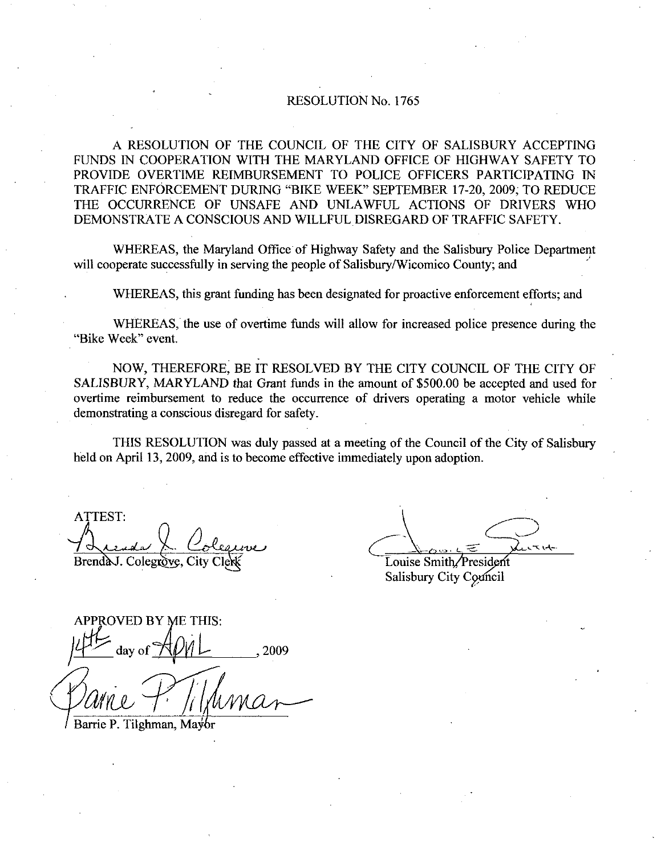## RESOLUTION No. 1765

A RESOLUTION OF THE COUNCIL OF THE CITY OF SALISBURY ACCEPTING FUNDS IN COOPERATION WITH THE MARYLAND OFFICE OF HIGHWAY SAFETY TO PROVIDE OVERTIME REIMBURSEMENT TO POLICE OFFICERS PARTICIPATING IN TRAFFIC ENFORCEMENT DURING "BIKE WEEK" SEPTEMBER 17-20, 2009, TO REDUCE THE OCCURRENCE OF UNSAFE AND UNLAWFUL ACTIONS OF DRIVERS WHO DEMONSTRATE A CONSCIOUS AND WILLFUL DISREGARD OF TRAFFIC SAFETY.

WHEREAS, the Maryland Office of Highway Safety and the Salisbury Police Department will cooperate successfully in serving the people of Salisbury/Wicomico County; and

WHEREAS, this grant funding has been designated for proactive enforcement efforts; and

WHEREAS, the use of overtime funds will allow for increased police presence during the "Bike Week" event.

NOW, THEREFORE, BE IT RESOLVED BY THE CITY COUNCIL OF THE CITY OF SALISBURY, MARYLAND that Grant funds in the amount of \$500.00 be accepted and used for overtime reimbursement to reduce the occurrence of drivers operating <sup>a</sup> motor vehicle while demonstrating a conscious disregard for safety.

THIS RESOLUTION was duly passed at a meeting of the Council of the City of Salisbury held on April 13, 2009, and is to become effective immediately upon adoption.

ATTEST  $\hat{\mathcal{D}}$ Brend AJ. Colegrove, City Clerk Colection Course Smith President

Salisbury City Conneil

OVED BY ME THIS: day of  $MML$ , 2009 BY ME THIS<br>of Apvil<br>Timan, Mayor

Barrie P. Tilghman, Mayor